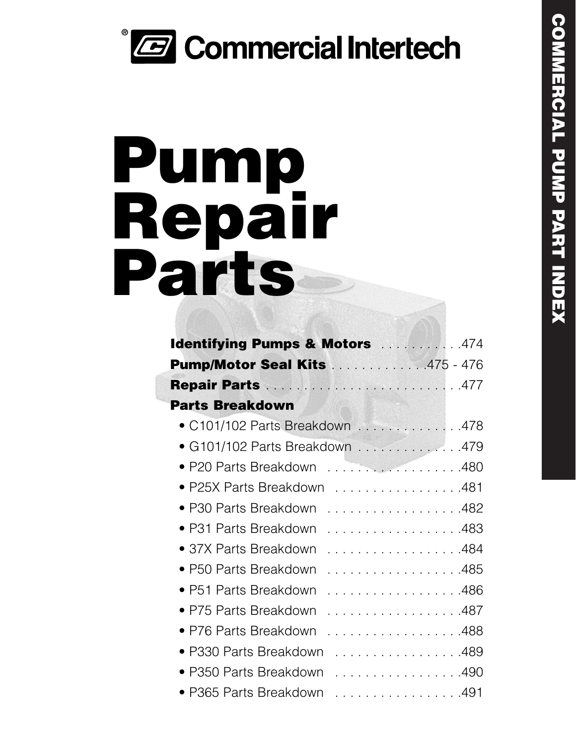# *<b>B* Commercial Intertech

# **Pump Repair Parts**

| <b>Identifying Pumps &amp; Motors Material Algebra</b> |
|--------------------------------------------------------|
| <b>Pump/Motor Seal Kits 475 - 476</b>                  |
|                                                        |
| <b>Parts Breakdown</b>                                 |
| C101/102 Parts Breakdown  478                          |
| • G101/102 Parts Breakdown 479                         |
| ● P20 Parts Breakdown 480                              |
| ● P25X Parts Breakdown 481                             |
| • P30 Parts Breakdown<br>. 482                         |
| • P31 Parts Breakdown<br>. 483                         |
| • 37X Parts Breakdown<br>. 484                         |
| • P50 Parts Breakdown<br>. 485                         |
| • P51 Parts Breakdown<br>. 486                         |
| • P75 Parts Breakdown<br>. 487                         |
| • P76 Parts Breakdown<br>. 488                         |
| • P330 Parts Breakdown<br>. 489                        |
| • P350 Parts Breakdown<br>. 490                        |
| • P365 Parts Breakdown<br>. 491                        |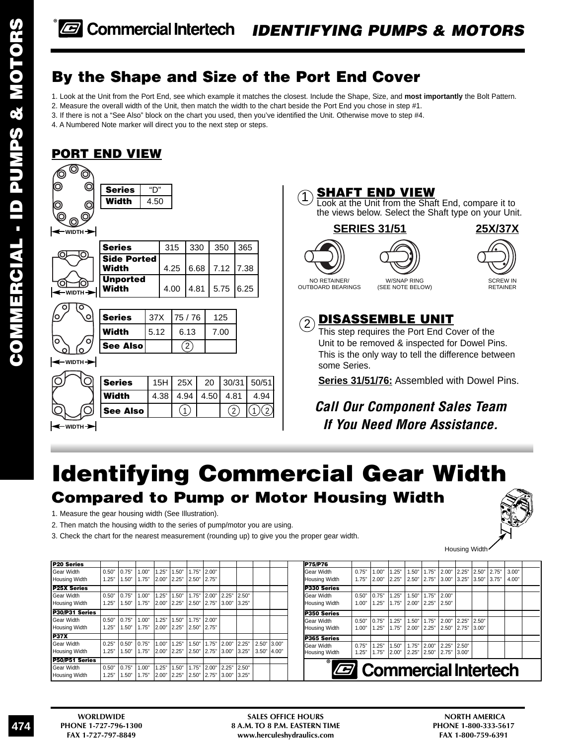### **By the Shape and Size of the Port End Cover**

1. Look at the Unit from the Port End, see which example it matches the closest. Include the Shape, Size, and **most importantly** the Bolt Pattern.

- 2. Measure the overall width of the Unit, then match the width to the chart beside the Port End you chose in step #1.
- 3. If there is not a "See Also" block on the chart you used, then you've identified the Unit. Otherwise move to step #4.

4. A Numbered Note marker will direct you to the next step or steps.

### **PORT END VIEW**





This is the only way to tell the difference between some Series.

**Series 31/51/76:** Assembled with Dowel Pins.

*Call Our Component Sales Team If You Need More Assistance.*

# **Identifying Commercial Gear Width Compared to Pump or Motor Housing Width**

1. Measure the gear housing width (See Illustration).

<del>→</del> WIDTH

2. Then match the housing width to the series of pump/motor you are using.

3. Check the chart for the nearest measurement (rounding up) to give you the proper gear width.



| <b>P20 Series</b>  |       |       |       |       |       |       |       |       |       |       |       |
|--------------------|-------|-------|-------|-------|-------|-------|-------|-------|-------|-------|-------|
| Gear Width         | 0.50" | 0.75" | 1.00" | 1.25" | 1.50" | 1.75" | 2.00" |       |       |       |       |
| Housing Width      | 1.25" | 1.50" | 1.75" | 2.00" | 2.25" | 2.50" | 2.75" |       |       |       |       |
| <b>P25X Series</b> |       |       |       |       |       |       |       |       |       |       |       |
| Gear Width         | 0.50" | 0.75" | 1.00" | 1.25" | 1.50" | 1.75" | 2.00" | 2.25" | 2.50" |       |       |
| Housing Width      | 1.25" | 1.50" | 1.75" | 2.00" | 2.25" | 2.50" | 2.75" | 3.00" | 3.25" |       |       |
| P30/P31 Series     |       |       |       |       |       |       |       |       |       |       |       |
| Gear Width         | 0.50" | 0.75" | 1.00" | 1.25" | 1.50" | 1.75" | 2.00" |       |       |       |       |
| Housing Width      | 1.25" | 1.50" | 1.75" | 2.00" | 2.25" | 2.50" | 2.75" |       |       |       |       |
| <b>P37X</b>        |       |       |       |       |       |       |       |       |       |       |       |
| Gear Width         | 0.25" | 0.50" | 0.75" | 1.00" | 1.25" | 1.50" | 1.75" | 2.00" | 2.25" | 2.50" | 3.00" |
| Housing Width      | 1.25" | 1.50" | 1.75" | 2.00" | 2.25" | 2.50" | 2.75" | 3.00" | 3.25" | 3.50" | 4.00" |
| P50/P51 Series     |       |       |       |       |       |       |       |       |       |       |       |
| Gear Width         | 0.50" | 0.75" | 1.00" | 1.25" | 1.50" | 1.75" | 2.00" | 2.25" | 2.50" |       |       |
| Housing Width      | 1.25" | 1.50" | 1.75" | 2.00" | 2.25" | 2.50" | 2.75" | 3.00" | 3.25" |       |       |

| <b>P75/P76</b>       |                               |       |       |       |       |       |       |       |       |       |  |
|----------------------|-------------------------------|-------|-------|-------|-------|-------|-------|-------|-------|-------|--|
| Gear Width           | 0.75"                         | 1.00" | 1.25" | 1.50" | 1.75" | 2.00" | 2.25" | 2.50" | 2.75" | 3.00" |  |
| <b>Housing Width</b> | 1.75"                         | 2.00" | 2.25" | 2.50" | 2.75" | 3.00" | 3.25" | 3.50" | 3.75" | 4.00" |  |
| P330 Series          |                               |       |       |       |       |       |       |       |       |       |  |
| Gear Width           | 0.50"                         | 0.75" | 1.25" | 1.50" | 1.75" | 2.00" |       |       |       |       |  |
| <b>Housing Width</b> | 1.00"                         | 1.25" | 1.75" | 2.00" | 2.25" | 2.50" |       |       |       |       |  |
| P350 Series          |                               |       |       |       |       |       |       |       |       |       |  |
| Gear Width           | 0.50"                         | 0.75" | 1.25" | 1.50" | 1.75" | 2.00" | 2.25" | 2.50" |       |       |  |
| <b>Housing Width</b> | 1.00"                         | 1.25" | 1.75" | 2.00" | 2.25" | 2.50" | 2.75" | 3.00" |       |       |  |
| P365 Series          |                               |       |       |       |       |       |       |       |       |       |  |
| Gear Width           | 0.75"                         | 1.25" | 1.50" | 1.75" | 2.00" | 2.25" | 2.50" |       |       |       |  |
| <b>Housing Width</b> | 1.25"                         | 1.75" | 2.00" | 2.25" | 2.50" | 2.75" | 3.00" |       |       |       |  |
| $^{\circ}$           | <b>B</b> Commercial Intertech |       |       |       |       |       |       |       |       |       |  |
|                      |                               |       |       |       |       |       |       |       |       |       |  |
|                      |                               |       |       |       |       |       |       |       |       |       |  |



Housing Width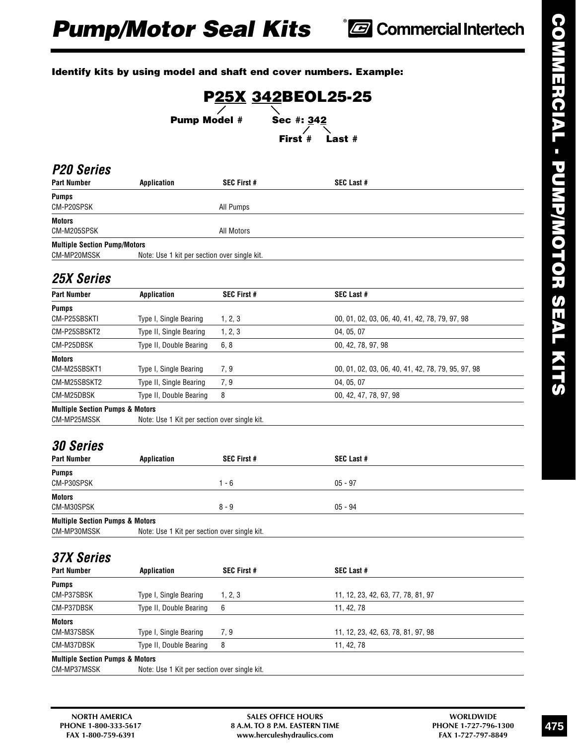### **Identify kits by using model and shaft end cover numbers. Example:**

|                                                           |                                              |                    |            | P25X 342BEOL25-25                                  |
|-----------------------------------------------------------|----------------------------------------------|--------------------|------------|----------------------------------------------------|
|                                                           | <b>Pump Model #</b>                          |                    | Sec #: 342 |                                                    |
|                                                           |                                              |                    | First #    | Last $#$                                           |
| <b>P20 Series</b><br>Part Number                          | Application                                  | <b>SEC First #</b> |            | <b>SEC Last #</b>                                  |
| <b>Pumps</b><br>CM-P20SPSK                                |                                              | All Pumps          |            |                                                    |
| <b>Motors</b><br>CM-M205SPSK                              |                                              | All Motors         |            |                                                    |
| <b>Multiple Section Pump/Motors</b><br>CM-MP20MSSK        | Note: Use 1 kit per section over single kit. |                    |            |                                                    |
| <b>25X Series</b>                                         |                                              |                    |            |                                                    |
| <b>Part Number</b>                                        | <b>Application</b>                           | <b>SEC First #</b> |            | SEC Last #                                         |
| <b>Pumps</b><br>CM-P25SBSKTI                              | Type I, Single Bearing                       | 1, 2, 3            |            | 00, 01, 02, 03, 06, 40, 41, 42, 78, 79, 97, 98     |
| CM-P25SBSKT2                                              | Type II, Single Bearing                      | 1, 2, 3            |            | 04, 05, 07                                         |
| CM-P25DBSK                                                | Type II, Double Bearing                      | 6, 8               |            | 00, 42, 78, 97, 98                                 |
| <b>Motors</b><br>CM-M25SBSKT1                             | Type I, Single Bearing                       | 7, 9               |            | 00, 01, 02, 03, 06, 40, 41, 42, 78, 79, 95, 97, 98 |
| CM-M25SBSKT2                                              | Type II, Single Bearing                      | 7, 9               |            | 04, 05, 07                                         |
| CM-M25DBSK                                                | Type II, Double Bearing                      | 8                  |            | 00, 42, 47, 78, 97, 98                             |
| <b>Multiple Section Pumps &amp; Motors</b><br>CM-MP25MSSK | Note: Use 1 Kit per section over single kit. |                    |            |                                                    |
| <b>30 Series</b>                                          |                                              |                    |            |                                                    |
| <b>Part Number</b>                                        | <b>Application</b>                           | <b>SEC First #</b> |            | <b>SEC Last #</b>                                  |
| <b>Pumps</b><br>CM-P30SPSK                                |                                              | $1 - 6$            |            | $05 - 97$                                          |
| <b>Motors</b><br>CM-M30SPSK                               |                                              | $8 - 9$            |            | $05 - 94$                                          |
| <b>Multiple Section Pumps &amp; Motors</b><br>CM-MP30MSSK | Note: Use 1 Kit per section over single kit. |                    |            |                                                    |
| <b>37X Series</b>                                         |                                              |                    |            |                                                    |
| <b>Part Number</b>                                        | <b>Application</b>                           | SEC First #        |            | SEC Last #                                         |
|                                                           |                                              |                    |            | 11, 12, 23, 42, 63, 77, 78, 81, 97                 |
| <b>Pumps</b>                                              |                                              |                    |            |                                                    |
| CM-P37SBSK<br>CM-P37DBSK                                  | Type I, Single Bearing                       | 1, 2, 3<br>6       |            |                                                    |
| <b>Motors</b>                                             | Type II, Double Bearing                      |                    |            | 11, 42, 78                                         |
| CM-M37SBSK                                                | Type I, Single Bearing                       | 7, 9               |            | 11, 12, 23, 42, 63, 78, 81, 97, 98                 |

CM-MP37MSSK Note: Use 1 Kit per section over single kit.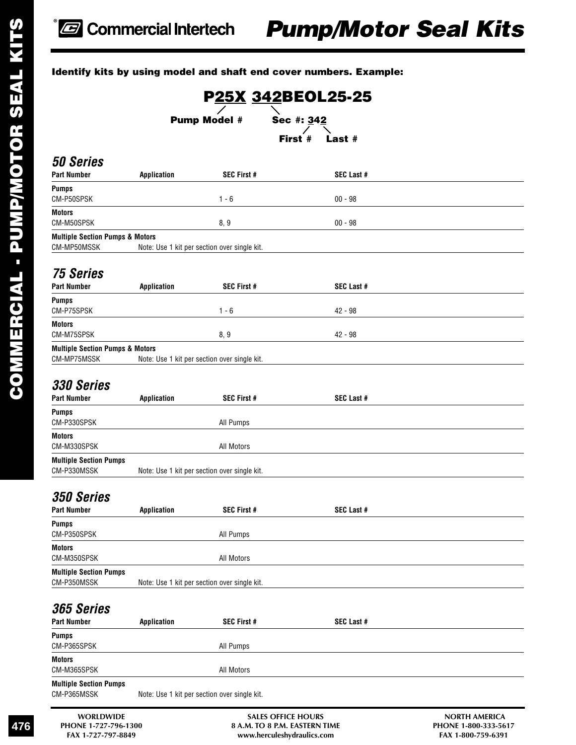### **Identify kits by using model and shaft end cover numbers. Example:**

**WORLDWIDE SALES OFFICE HOURS NORTH AMERICA P25X 342BEOL25-25 Pump Model # Sec #: 342 First # Last #** *50 Series* Part Number **Application** SEC First # SEC Last # **Pumps** CM-P50SPSK 00 - 98 **Motors** CM-M50SPSK 8, 9 00 - 98 **Multiple Section Pumps & Motors** CM-MP50MSSK Note: Use 1 kit per section over single kit. *75 Series* Application SEC First # SEC Last # **Pumps** CM-P75SPSK 1 - 6 42 - 98 **Motors** CM-M75SPSK 8, 9 42 - 98 **Multiple Section Pumps & Motors** CM-MP75MSSK Note: Use 1 kit per section over single kit. *330 Series* Part Number **Application** SEC First # SEC Last # **Pumps** CM-P330SPSK All Pumps **Motors** CM-M330SPSK All Motors **Multiple Section Pumps** CM-P330MSSK Note: Use 1 kit per section over single kit. *350 Series* Part Number **Application** SEC First # SEC Last # **Pumps** CM-P350SPSK All Pumps **Motors** CM-M350SPSK All Motors **Multiple Section Pumps** CM-P350MSSK Note: Use 1 kit per section over single kit. *365 Series* **Part Number Application SEC First # SEC Last # Pumps** CM-P365SPSK All Pumps **Motors** CM-M365SPSK All Motors **Multiple Section Pumps** CM-P365MSSK Note: Use 1 kit per section over single kit.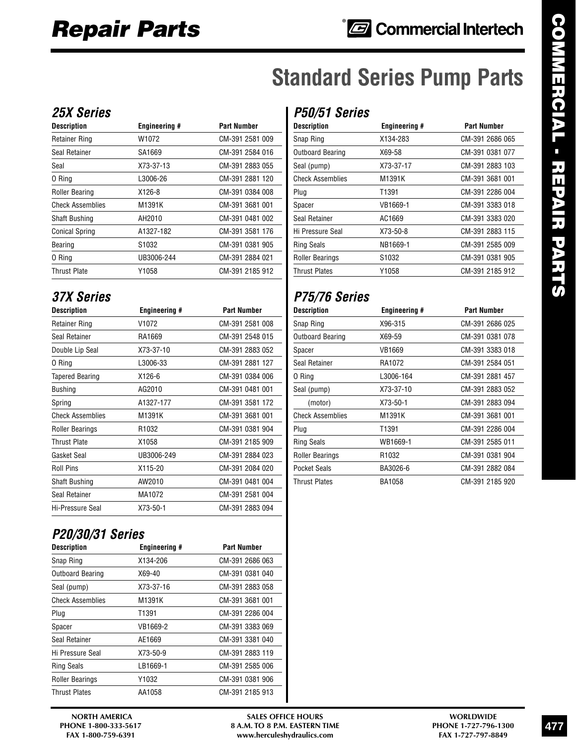# **Standard Series Pump Parts**

### *25X Series*

| <b>Description</b>      | <b>Engineering #</b> | <b>Part Number</b> |
|-------------------------|----------------------|--------------------|
| <b>Retainer Ring</b>    | W1072                | CM-391 2581 009    |
| Seal Retainer           | SA1669               | CM-391 2584 016    |
| Seal                    | X73-37-13            | CM-391 2883 055    |
| 0 Ring                  | L3006-26             | CM-391 2881 120    |
| <b>Roller Bearing</b>   | X126-8               | CM-391 0384 008    |
| <b>Check Assemblies</b> | M1391K               | CM-391 3681 001    |
| <b>Shaft Bushing</b>    | AH2010               | CM-391 0481 002    |
| <b>Conical Spring</b>   | A1327-182            | CM-391 3581 176    |
| Bearing                 | S <sub>1032</sub>    | CM-391 0381 905    |
| 0 Ring                  | UB3006-244           | CM-391 2884 021    |
| <b>Thrust Plate</b>     | Y1058                | CM-391 2185 912    |

### *37X Series*

| <b>Description</b>      | <b>Engineering #</b> | <b>Part Number</b> |
|-------------------------|----------------------|--------------------|
| <b>Retainer Ring</b>    | V1072                | CM-391 2581 008    |
| Seal Retainer           | RA1669               | CM-391 2548 015    |
| Double Lip Seal         | X73-37-10            | CM-391 2883 052    |
| 0 Ring                  | L3006-33             | CM-391 2881 127    |
| <b>Tapered Bearing</b>  | X126-6               | CM-391 0384 006    |
| <b>Bushing</b>          | AG2010               | CM-391 0481 001    |
| Spring                  | A1327-177            | CM-391 3581 172    |
| <b>Check Assemblies</b> | M1391K               | CM-391 3681 001    |
| <b>Roller Bearings</b>  | R <sub>1032</sub>    | CM-391 0381 904    |
| Thrust Plate            | X1058                | CM-391 2185 909    |
| Gasket Seal             | UB3006-249           | CM-391 2884 023    |
| <b>Roll Pins</b>        | X115-20              | CM-391 2084 020    |
| <b>Shaft Bushing</b>    | AW2010               | CM-391 0481 004    |
| Seal Retainer           | MA1072               | CM-391 2581 004    |
| Hi-Pressure Seal        | X73-50-1             | CM-391 2883 094    |

### *P20/30/31 Series*

| <b>Description</b>      | <b>Engineering #</b> | <b>Part Number</b> |
|-------------------------|----------------------|--------------------|
| Snap Ring               | X134-206             | CM-391 2686 063    |
| <b>Outboard Bearing</b> | X69-40               | CM-391 0381 040    |
| Seal (pump)             | X73-37-16            | CM-391 2883 058    |
| <b>Check Assemblies</b> | M1391K               | CM-391 3681 001    |
| Plug                    | T1391                | CM-391 2286 004    |
| Spacer                  | VB1669-2             | CM-391 3383 069    |
| Seal Retainer           | AE1669               | CM-391 3381 040    |
| Hi Pressure Seal        | X73-50-9             | CM-391 2883 119    |
| <b>Ring Seals</b>       | LB1669-1             | CM-391 2585 006    |
| <b>Roller Bearings</b>  | Y1032                | CM-391 0381 906    |
| <b>Thrust Plates</b>    | AA1058               | CM-391 2185 913    |

### *P50/51 Series*

| <b>Description</b>      | <b>Engineering #</b> | <b>Part Number</b> |
|-------------------------|----------------------|--------------------|
| Snap Ring               | X134-283             | CM-391 2686 065    |
| Outboard Bearing        | X69-58               | CM-391 0381 077    |
| Seal (pump)             | X73-37-17            | CM-391 2883 103    |
| <b>Check Assemblies</b> | M1391K               | CM-391 3681 001    |
| Plug                    | T1391                | CM-391 2286 004    |
| Spacer                  | VB1669-1             | CM-391 3383 018    |
| Seal Retainer           | AC1669               | CM-391 3383 020    |
| Hi Pressure Seal        | X73-50-8             | CM-391 2883 115    |
| <b>Ring Seals</b>       | NB1669-1             | CM-391 2585 009    |
| <b>Roller Bearings</b>  | S1032                | CM-391 0381 905    |
| <b>Thrust Plates</b>    | Y1058                | CM-391 2185 912    |
|                         |                      |                    |

### *P75/76 Series*

| <b>Part Number</b> |
|--------------------|
| CM-391 2686 025    |
| CM-391 0381 078    |
| CM-391 3383 018    |
| CM-391 2584 051    |
| CM-391 2881 457    |
| CM-391 2883 052    |
| CM-391 2883 094    |
| CM-391 3681 001    |
| CM-391 2286 004    |
| CM-391 2585 011    |
| CM-391 0381 904    |
| CM-391 2882 084    |
| CM-391 2185 920    |
|                    |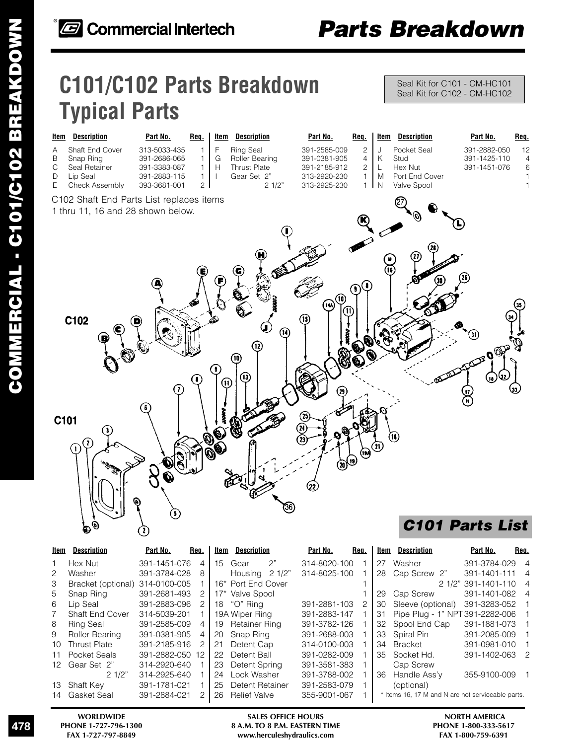# **C101/C102 Parts Breakdown Typical Parts**

Seal Kit for C101 - CM-HC101 Seal Kit for C102 - CM-HC102



| Item | <b>Description</b>  | Part No.     | Req. | ltem   | <b>Description</b>    |       | Part No.     | Req. | Item | <b>Description</b>                                | Part No.            | Req.           |
|------|---------------------|--------------|------|--------|-----------------------|-------|--------------|------|------|---------------------------------------------------|---------------------|----------------|
|      | Hex Nut             | 391-1451-076 | 4    | 15     | Gear                  | 2"    | 314-8020-100 |      | 27   | Washer                                            | 391-3784-029 4      |                |
| 2    | Washer              | 391-3784-028 | 8    |        | Housing               | 21/2" | 314-8025-100 |      | 28   | Cap Screw 2"                                      | 391-1401-111        | 4              |
| З    | Bracket (optional)  | 314-0100-005 |      | 16*    | <b>Port End Cover</b> |       |              |      |      |                                                   | 2 1/2" 391-1401-110 | $\overline{4}$ |
| 5    | Snap Ring           | 391-2681-493 | 2    | $17^*$ | Valve Spool           |       |              |      | 29   | Cap Screw                                         | 391-1401-082        | $\overline{A}$ |
| 6    | Lip Seal            | 391-2883-096 | 2    | 18     | "O" Ring              |       | 391-2881-103 |      | 30   | Sleeve (optional)                                 | 391-3283-052        |                |
|      | Shaft End Cover     | 314-5039-201 |      |        | 19A Wiper Ring        |       | 391-2883-147 |      | 31   | Pipe Plug - 1" NPT 391-2282-006                   |                     |                |
| 8    | <b>Ring Seal</b>    | 391-2585-009 | 4    | 19     | Retainer Ring         |       | 391-3782-126 |      | 32   | Spool End Cap                                     | 391-1881-073        |                |
| 9    | Roller Bearing      | 391-0381-905 | 4    | 20     | Snap Ring             |       | 391-2688-003 |      | 33   | Spiral Pin                                        | 391-2085-009        |                |
| 10.  | <b>Thrust Plate</b> | 391-2185-916 | 2    | 21     | Detent Cap            |       | 314-0100-003 |      | 34   | Bracket                                           | 391-0981-010        |                |
| 11   | Pocket Seals        | 391-2882-050 | 12   | 22     | Detent Ball           |       | 391-0282-009 |      | 35   | Socket Hd.                                        | 391-1402-063        | $\overline{2}$ |
| 12.  | Gear Set 2"         | 314-2920-640 |      | 23     | Detent Spring         |       | 391-3581-383 |      |      | Cap Screw                                         |                     |                |
|      | 21/2"               | 314-2925-640 |      | 24     | ∟ock Washer           |       | 391-3788-002 |      | 36   | Handle Ass'y                                      | 355-9100-009        | $\mathbf{1}$   |
| 13.  | Shaft Key           | 391-1781-021 |      | 25     | Detent Retainer       |       | 391-2583-079 |      |      | (optional)                                        |                     |                |
| 14.  | Gasket Seal         | 391-2884-021 | 2    | 26     | <b>Relief Valve</b>   |       | 355-9001-067 |      |      | * Items 16, 17 M and N are not serviceable parts. |                     |                |
|      |                     |              |      |        |                       |       |              |      |      |                                                   |                     |                |

**WORLDWIDE SALES OFFICE HOURS NORTH AMERICA** PHONE 1-727-796-1300 **8 A.M. TO 8 P.M. EASTERN TIME** PHONE 1-800-333-561<br>FAX 1-727-797-8849 www.herculeshydraulics.com FAX 1-800-759-6391  $www. herculeshydraulics.com$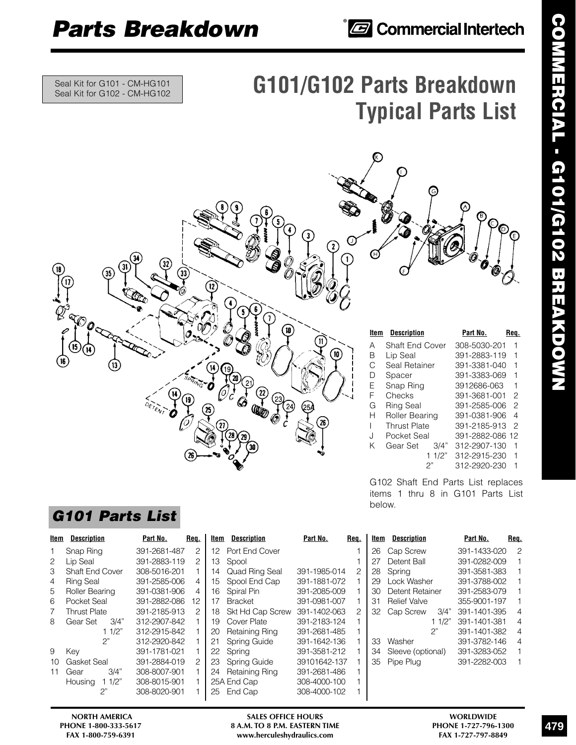## *<u><b>* Commercial Intertech</u>

Seal Kit for G101 - CM-HG101 Seal Kit for G102 - CM-HG102

# **G101/G102 Parts Breakdown Typical Parts List**



### A Shaft End Cover 308-5030-201 1 B Lip Seal 391-2883-119 1 C Seal Retainer 391-3381-040 1 D Spacer 391-3383-069 1<br>E Snap Ring 3912686-063 1 E Snap Ring 3912686-063 1 F Checks 391-3681-001 2 G Ring Seal 391-2585-006 2 H Roller Bearing 391-0381-906 4 I Thrust Plate 391-2185-913 2 J Pocket Seal 391-2882-086 12 K Gear Set 3/4" 312-2907-130 1 1 1/2" 312-2915-230 1 2" 312-2920-230 1 **Item Description Part No. Req.**

G102 Shaft End Parts List replaces items 1 thru 8 in G101 Parts List below.

|                 | Req. | Item | <b>Description</b>  |       | Part No.     | Reg.           |
|-----------------|------|------|---------------------|-------|--------------|----------------|
|                 |      | 26   | Cap Screw           |       | 391-1433-020 | $\overline{c}$ |
|                 |      | 27   | Detent Ball         |       | 391-0282-009 | $\mathbf{1}$   |
| $-014$          | 2    | 28   | Spring              |       | 391-3581-383 | 1              |
| $-072$          |      | 29   | Lock Washer         |       | 391-3788-002 | 1              |
| 5-009           |      | 30   | Detent Retainer     |       | 391-2583-079 | 1              |
| $-007$          |      | 31   | <b>Relief Valve</b> |       | 355-9001-197 | 1              |
| 2-063           | 2    | 32   | Cap Screw           | 3/4"  | 391-1401-395 | $\overline{4}$ |
| $3 - 124$       |      |      |                     | 11/2" | 391-1401-381 | 4              |
| $-485$          |      |      |                     | 2"    | 391-1401-382 | $\overline{4}$ |
| $-136$          |      | 33   | Washer              |       | 391-3782-146 | 4              |
| $-212$          |      | 34   | Sleeve (optional)   |       | 391-3283-052 | 1              |
| 2-137           |      | 35   | Pipe Plug           |       | 391-2282-003 | 1              |
| 10 <sup>2</sup> | ٠    |      |                     |       |              |                |

### *G101 Parts List*

|    | <b>Description</b><br>ltem | Part No.<br>Req. |    | ltem<br><b>Description</b>  | Part No.     | Req. | ltem | <b>Description</b>  | Part No.     | Req. |
|----|----------------------------|------------------|----|-----------------------------|--------------|------|------|---------------------|--------------|------|
|    | Snap Ring                  | 391-2681-487     | 2  | Port End Cover<br>12        |              |      | 26   | Cap Screw           | 391-1433-020 | 2    |
| 2  | Lip Seal                   | 391-2883-119     | 2  | 13<br>Spool                 |              |      | 27   | Detent Ball         | 391-0282-009 |      |
| 3  | Shaft End Cover            | 308-5016-201     |    | <b>Quad Ring Seal</b><br>14 | 391-1985-014 | 2    | 28   | Spring              | 391-3581-383 |      |
| 4  | <b>Ring Seal</b>           | 391-2585-006     | 4  | Spool End Cap<br>15         | 391-1881-072 |      | 29   | Lock Washer         | 391-3788-002 |      |
| 5. | Roller Bearing             | 391-0381-906     | 4  | Spiral Pin<br>16            | 391-2085-009 |      | 30   | Detent Retainer     | 391-2583-079 |      |
| 6  | Pocket Seal                | 391-2882-086     | 12 | <b>Bracket</b><br>17        | 391-0981-007 |      | 31   | <b>Relief Valve</b> | 355-9001-197 |      |
|    | Thrust Plate               | 391-2185-913     | 2  | Skt Hd Cap Screw<br>18      | 391-1402-063 | 2    | 32   | Cap Screw<br>3/4"   | 391-1401-395 | 4    |
| 8  | Gear Set<br>3/4"           | 312-2907-842     |    | Cover Plate<br>19           | 391-2183-124 |      |      | 11/2"               | 391-1401-381 | 4    |
|    | 11/2"                      | 312-2915-842     |    | <b>Retaining Ring</b><br>20 | 391-2681-485 |      |      | 2"                  | 391-1401-382 | 4    |
|    | 2"                         | 312-2920-842     |    | Spring Guide<br>21          | 391-1642-136 |      | 33   | Washer              | 391-3782-146 | 4    |
| 9  | Key                        | 391-1781-021     |    | Spring<br>22                | 391-3581-212 |      | 34   | Sleeve (optional)   | 391-3283-052 |      |
|    | Gasket Seal<br>10          | 391-2884-019     | 2  | Spring Guide<br>23          | 39101642-137 |      | 35   | Pipe Plug           | 391-2282-003 |      |
|    | 3/4"<br>Gear<br>11         | 308-8007-901     |    | Retaining Ring<br>24        | 391-2681-486 |      |      |                     |              |      |
|    | 11/2"<br>Housing           | 308-8015-901     |    | 25A End Cap                 | 308-4000-100 |      |      |                     |              |      |
|    |                            | 308-8020-901     |    | End Cap<br>25               | 308-4000-102 |      |      |                     |              |      |
|    |                            |                  |    |                             |              |      |      |                     |              |      |

**NORTH AMERICA SALES OFFICE HOURS WORLDWIDE PHONE 1-800-333-5617 8 A.M. TO 8 P.M. EASTERN TIME PHONE 1-727-796-1300**  $www. herculeshydraulics.com$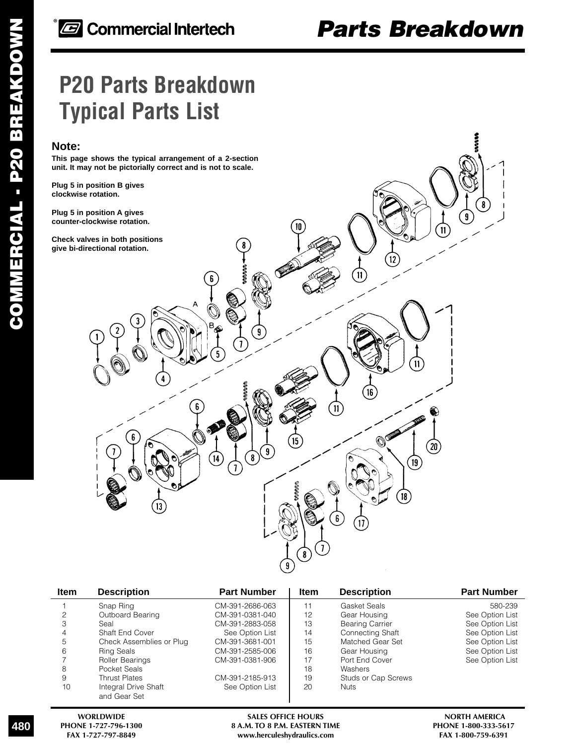# **P20 Parts Breakdown Typical Parts List**

### **Note:**

**This page shows the typical arrangement of a 2-section unit. It may not be pictorially correct and is not to scale.**

**Plug 5 in position B gives clockwise rotation.**

**Plug 5 in position A gives counter-clockwise rotation.**

**Check valves in both positions give bi-directional rotation.**



| <b>Item</b> | <b>Description</b>                   | <b>Part Number</b> | <b>Item</b> | <b>Description</b>      | <b>Part Number</b> |
|-------------|--------------------------------------|--------------------|-------------|-------------------------|--------------------|
|             | Snap Ring                            | CM-391-2686-063    | 11          | Gasket Seals            | 580-239            |
| 2           | Outboard Bearing                     | CM-391-0381-040    | 12          | Gear Housing            | See Option List    |
| З           | Seal                                 | CM-391-2883-058    | 13          | <b>Bearing Carrier</b>  | See Option List    |
| 4           | Shaft End Cover                      | See Option List    | 14          | <b>Connecting Shaft</b> | See Option List    |
| 5           | Check Assemblies or Plug             | CM-391-3681-001    | 15          | Matched Gear Set        | See Option List    |
| 6           | <b>Ring Seals</b>                    | CM-391-2585-006    | 16          | Gear Housing            | See Option List    |
|             | Roller Bearings                      | CM-391-0381-906    | 17          | Port End Cover          | See Option List    |
| 8           | Pocket Seals                         |                    | 18          | Washers                 |                    |
| 9           | <b>Thrust Plates</b>                 | CM-391-2185-913    | 19          | Studs or Cap Screws     |                    |
| 10          | Integral Drive Shaft<br>and Gear Set | See Option List    | 20          | <b>Nuts</b>             |                    |

480

**WORLDWIDE SALES OFFICE HOURS NORTH AMERICA** PHONE 1-727-796-1300 **8 A.M. TO 8 P.M. EASTERN TIME** PHONE 1-800-333-561<br>FAX 1-727-797-8849 **RAX 1-800-759-6391**  $www. herculeshydraulics.com$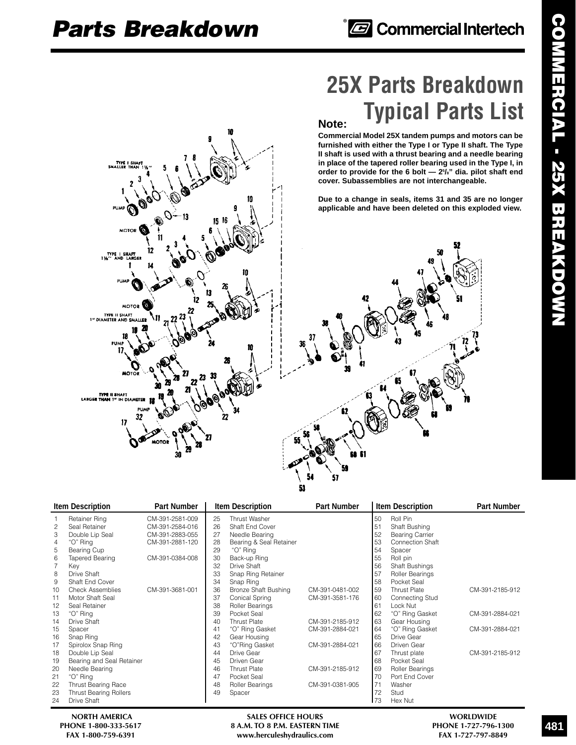### **Note: 25X Parts Breakdown Typical Parts List**

**Commercial Model 25X tandem pumps and motors can be furnished with either the Type I or Type II shaft. The Type II shaft is used with a thrust bearing and a needle bearing in place of the tapered roller bearing used in the Type I, in order to provide for the 6 bolt — 25 /8" dia. pilot shaft end cover. Subassemblies are not interchangeable.**

**Due to a change in seals, items 31 and 35 are no longer applicable and have been deleted on this exploded view.**

|    | <b>Item Description</b>       | <b>Part Number</b> |    | <b>Item Description</b> | Part Number     |     | <b>Item Description</b> | Part Number     |
|----|-------------------------------|--------------------|----|-------------------------|-----------------|-----|-------------------------|-----------------|
|    | Retainer Ring                 | CM-391-2581-009    | 25 | Thrust Washer           |                 | 50  | Roll Pin                |                 |
| 2  | Seal Retainer                 | CM-391-2584-016    | 26 | Shaft End Cover         |                 | 51  | Shaft Bushing           |                 |
| 3  | Double Lip Seal               | CM-391-2883-055    | 27 | Needle Bearing          |                 | 52  | <b>Bearing Carrier</b>  |                 |
| 4  | "O" Ring                      | CM-391-2881-120    | 28 | Bearing & Seal Retainer |                 | 53  | <b>Connection Shaft</b> |                 |
| 5  | Bearing Cup                   |                    | 29 | "O" Ring                |                 | 54  | Spacer                  |                 |
| 6  | Tapered Bearing               | CM-391-0384-008    | 30 | Back-up Ring            |                 | 55  | Roll pin                |                 |
|    | Key                           |                    | 32 | Drive Shaft             |                 | 56  | <b>Shaft Bushings</b>   |                 |
| 8  | Drive Shaft                   |                    | 33 | Snap Ring Retainer      |                 | 57  | Roller Bearings         |                 |
| 9  | Shaft End Cover               |                    | 34 | Snap Ring               |                 | 58  | Pocket Seal             |                 |
| 10 | <b>Check Assemblies</b>       | CM-391-3681-001    | 36 | Bronze Shaft Bushing    | CM-391-0481-002 | 59  | <b>Thrust Plate</b>     | CM-391-2185-912 |
| 11 | Motor Shaft Seal              |                    | 37 | Conical Spring          | CM-391-3581-176 | 60  | Connecting Stud         |                 |
| 12 | Seal Retainer                 |                    | 38 | Roller Bearings         |                 | 61  | Lock Nut                |                 |
| 13 | "O" Ring                      |                    | 39 | Pocket Seal             |                 | 62  | "O" Ring Gasket         | CM-391-2884-021 |
| 14 | Drive Shaft                   |                    | 40 | <b>Thrust Plate</b>     | CM-391-2185-912 | 63  | Gear Housing            |                 |
| 15 | Spacer                        |                    | 41 | "O" Ring Gasket         | CM-391-2884-021 | 64  | "O" Ring Gasket         | CM-391-2884-021 |
| 16 | Snap Ring                     |                    | 42 | Gear Housing            |                 | 65  | Drive Gear              |                 |
| 17 | Spirolox Snap Ring            |                    | 43 | "O"Ring Gasket          | CM-391-2884-021 | 66  | Driven Gear             |                 |
| 18 | Double Lip Seal               |                    | 44 | Drive Gear              |                 | 67  | Thrust plate            | CM-391-2185-912 |
| 19 | Bearing and Seal Retainer     |                    | 45 | Driven Gear             |                 | 68  | Pocket Seal             |                 |
| 20 | Needle Bearing                |                    | 46 | <b>Thrust Plate</b>     | CM-391-2185-912 | 69  | Roller Bearings         |                 |
| 21 | "O" Ring                      |                    | 47 | Pocket Seal             |                 | 170 | Port End Cover          |                 |
| 22 | <b>Thrust Bearing Race</b>    |                    | 48 | Roller Bearings         | CM-391-0381-905 | 71  | Washer                  |                 |
| 23 | <b>Thrust Bearing Rollers</b> |                    | 49 | Spacer                  |                 | 72  | Stud                    |                 |
| 24 | Drive Shaft                   |                    |    |                         |                 | 173 | Hex Nut                 |                 |

51

53

NORTH AMERICA **SALES OFFICE HOURS** SALES OF THE SALES OF THE SALES OF THE SALES OF THE SALES OF THE SALES OF THE SALES OF THE SALES OF THE SALES OF THE SALES OF THE SALES OF THE SALES OF THE SALES OF THE SALES OF THE SALES **PHONE 1-800-333-5617 8 A.M. TO 8 P.M. EASTERN TIME PHONE 1-727-796-1300**  $www. herculeshydraulics.com$ 

**COMMERCIAL - 25X BREAKDOWN** 

# TYPE<br>SMALLER **MOTOR** TYPE I **MOTOR** TYPE II SHAFT<br>1" DIAMETER AND S. 11 **A11EB TYPE II SHAFT**<br>LARGE**R THAN 1"** IN DIAMETER **PIIA** 32 17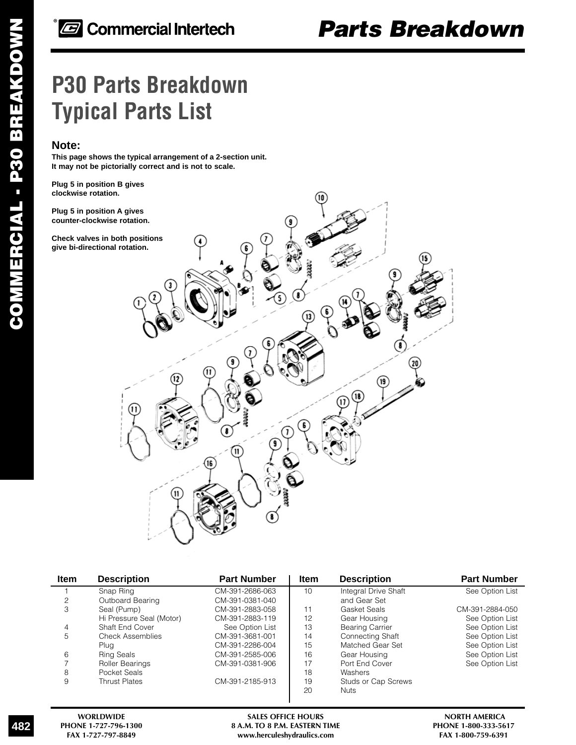# **P30 Parts Breakdown Typical Parts List**

### **Note:**

**This page shows the typical arrangement of a 2-section unit. It may not be pictorially correct and is not to scale.**

**Plug 5 in position B gives clockwise rotation.**

**Plug 5 in position A gives counter-clockwise rotation.**

**Check valves in both positions give bi-directional rotation.**



| <b>Item</b> | <b>Description</b>       | <b>Part Number</b> | <b>Item</b> | <b>Description</b>     | <b>Part Number</b> |
|-------------|--------------------------|--------------------|-------------|------------------------|--------------------|
|             | Snap Ring                | CM-391-2686-063    | 10          | Integral Drive Shaft   | See Option List    |
| 2           | Outboard Bearing         | CM-391-0381-040    |             | and Gear Set           |                    |
| 3           | Seal (Pump)              | CM-391-2883-058    | 11          | Gasket Seals           | CM-391-2884-050    |
|             | Hi Pressure Seal (Motor) | CM-391-2883-119    | 12          | Gear Housing           | See Option List    |
| 4           | Shaft End Cover          | See Option List    | 13          | <b>Bearing Carrier</b> | See Option List    |
| 5           | <b>Check Assemblies</b>  | CM-391-3681-001    | 14          | Connecting Shaft       | See Option List    |
|             | Plug                     | CM-391-2286-004    | 15          | Matched Gear Set       | See Option List    |
| 6           | Ring Seals               | CM-391-2585-006    | 16          | Gear Housing           | See Option List    |
|             | Roller Bearings          | CM-391-0381-906    | 17          | Port End Cover         | See Option List    |
| 8           | Pocket Seals             |                    | 18          | Washers                |                    |
| 9           | <b>Thrust Plates</b>     | CM-391-2185-913    | 19          | Studs or Cap Screws    |                    |
|             |                          |                    | 20          | Nuts                   |                    |
|             |                          |                    |             |                        |                    |

482

WORLDWIDE **SALES OFFICE HOURS** SALES SEEN TIME THE SALES OF SALES OF SALES OF SALES OF SALES OF SALES OF SALES OF SALES OF SALES ASSEERN TIME THE SALES ASSEERN TIME SALES ASSEERN TIME SALES OF SALES ASSEERN TIME SALES OF S PHONE 1-727-796-1300 **8 A.M. TO 8 P.M. EASTERN TIME** PHONE 1-800-333-561<br>FAX 1-727-797-8849 **RAX 1-800-759-6391**  $www. herculeshydraulics.com$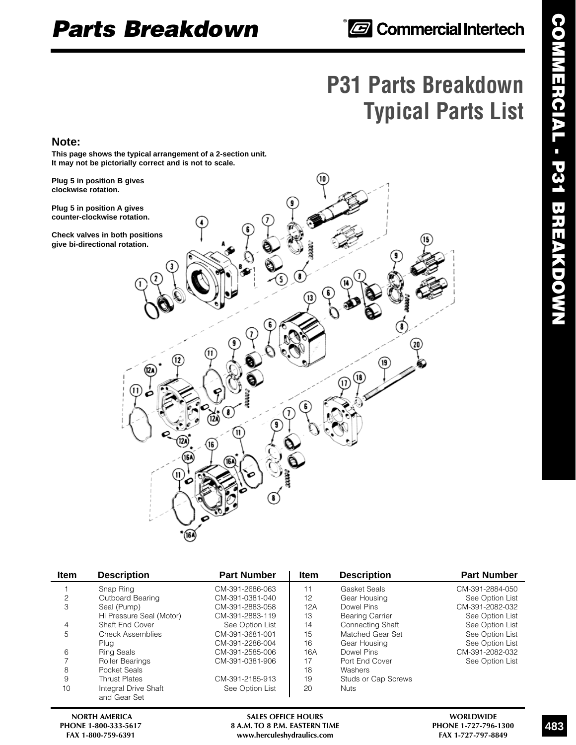# **P31 Parts Breakdown Typical Parts List**

### **Note:**

**This page shows the typical arrangement of a 2-section unit. It may not be pictorially correct and is not to scale.**

**Plug 5 in position B gives clockwise rotation.**

**Plug 5 in position A gives counter-clockwise rotation.**

**Check valves in both positions give bi-directional rotation.**



| <b>Item</b> | <b>Description</b>                   | <b>Part Number</b> | <b>Item</b> | <b>Description</b>      | <b>Part Number</b> |
|-------------|--------------------------------------|--------------------|-------------|-------------------------|--------------------|
|             | Snap Ring                            | CM-391-2686-063    |             | Gasket Seals            | CM-391-2884-050    |
| 2           | Outboard Bearing                     | CM-391-0381-040    | 12          | Gear Housing            | See Option List    |
| 3           | Seal (Pump)                          | CM-391-2883-058    | 12A         | Dowel Pins              | CM-391-2082-032    |
|             | Hi Pressure Seal (Motor)             | CM-391-2883-119    | 13          | <b>Bearing Carrier</b>  | See Option List    |
| 4           | Shaft End Cover                      | See Option List    | 14          | <b>Connecting Shaft</b> | See Option List    |
| 5           | Check Assemblies                     | CM-391-3681-001    | 15          | Matched Gear Set        | See Option List    |
|             | Plua                                 | CM-391-2286-004    | 16          | Gear Housing            | See Option List    |
| 6           | <b>Ring Seals</b>                    | CM-391-2585-006    | 16A         | Dowel Pins              | CM-391-2082-032    |
|             | <b>Roller Bearings</b>               | CM-391-0381-906    | 17          | Port End Cover          | See Option List    |
| 8           | Pocket Seals                         |                    | 18          | Washers                 |                    |
| 9           | <b>Thrust Plates</b>                 | CM-391-2185-913    | 19          | Studs or Cap Screws     |                    |
| 10          | Integral Drive Shaft<br>and Gear Set | See Option List    | 20          | <b>Nuts</b>             |                    |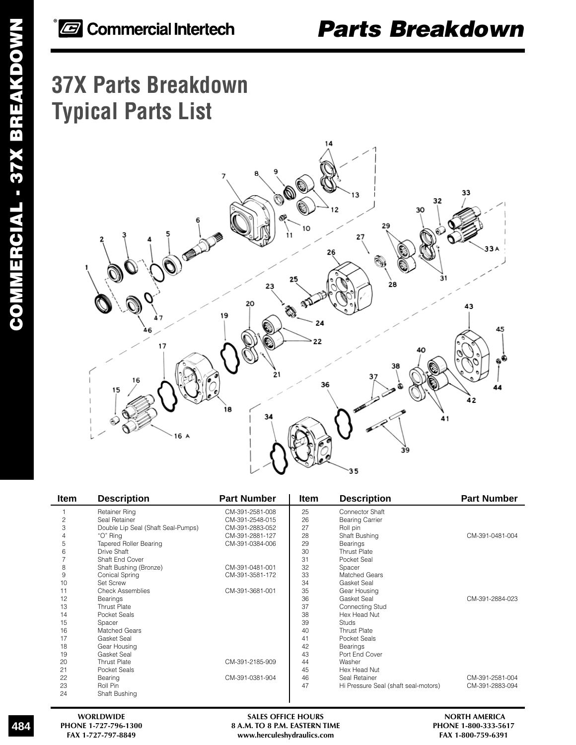# **37X Parts Breakdown Typical Parts List**



| <b>Item</b>    | <b>Description</b>                 | <b>Part Number</b> | <b>Item</b> | <b>Description</b>                   | <b>Part Number</b> |
|----------------|------------------------------------|--------------------|-------------|--------------------------------------|--------------------|
|                | Retainer Ring                      | CM-391-2581-008    | 25          | Connector Shaft                      |                    |
| $\overline{c}$ | Seal Retainer                      | CM-391-2548-015    | 26          | <b>Bearing Carrier</b>               |                    |
| 3              | Double Lip Seal (Shaft Seal-Pumps) | CM-391-2883-052    | 27          | Roll pin                             |                    |
|                | "O" Ring                           | CM-391-2881-127    | 28          | Shaft Bushing                        | CM-391-0481-004    |
| 5              | <b>Tapered Roller Bearing</b>      | CM-391-0384-006    | 29          | Bearings                             |                    |
| 6              | Drive Shaft                        |                    | 30          | <b>Thrust Plate</b>                  |                    |
|                | Shaft End Cover                    |                    | 31          | Pocket Seal                          |                    |
| 8              | Shaft Bushing (Bronze)             | CM-391-0481-001    | 32          | Spacer                               |                    |
| 9              | Conical Spring                     | CM-391-3581-172    | 33          | <b>Matched Gears</b>                 |                    |
| 10             | Set Screw                          |                    | 34          | Gasket Seal                          |                    |
| 11             | <b>Check Assemblies</b>            | CM-391-3681-001    | 35          | Gear Housing                         |                    |
| 12             | Bearings                           |                    | 36          | Gasket Seal                          | CM-391-2884-023    |
| 13             | <b>Thrust Plate</b>                |                    | 37          | Connecting Stud                      |                    |
| 14             | Pocket Seals                       |                    | 38          | Hex Head Nut                         |                    |
| 15             | Spacer                             |                    | 39          | Studs                                |                    |
| 16             | Matched Gears                      |                    | 40          | <b>Thrust Plate</b>                  |                    |
| 17             | Gasket Seal                        |                    | 41          | Pocket Seals                         |                    |
| 18             | Gear Housing                       |                    | 42          | Bearings                             |                    |
| 19             | Gasket Seal                        |                    | 43          | Port End Cover                       |                    |
| 20             | <b>Thrust Plate</b>                | CM-391-2185-909    | 44          | Washer                               |                    |
| 21             | Pocket Seals                       |                    | 45          | Hex Head Nut                         |                    |
| 22             | Bearing                            | CM-391-0381-904    | 46          | Seal Retainer                        | CM-391-2581-004    |
| 23             | Roll Pin                           |                    | 47          | Hi Pressure Seal (shaft seal-motors) | CM-391-2883-094    |
| 24             | Shaft Bushing                      |                    |             |                                      |                    |

484

WORLDWIDE **SALES OFFICE HOURS** SALES OF MELLES OF SALES OF THE SALES OF THE SALES OF THE SALES OF THE SALES OF THE SALES OF THE SALES OF THE SALES OF THE SALES OF THE SALES OF THE SALES OF THE SALES OF THE SALES OF THE SAL PHONE 1-727-796-1300 **8 A.M. TO 8 P.M. EASTERN TIME** PHONE 1-800-333-561<br>FAX 1-727-797-8849 **RAX 1-800-759-6391**  $www. herculeshydraulics.com$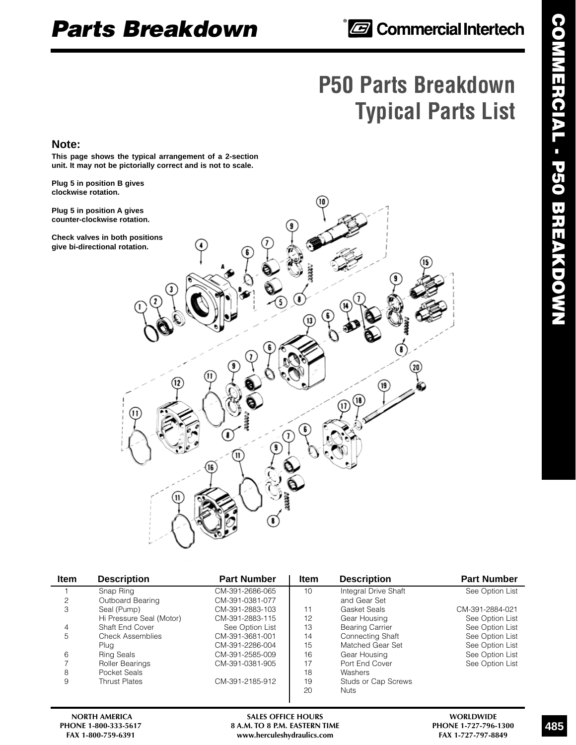# **P50 Parts Breakdown Typical Parts List**

### **Note:**

**This page shows the typical arrangement of a 2-section unit. It may not be pictorially correct and is not to scale.**

**Plug 5 in position B gives clockwise rotation.**

**Plug 5 in position A gives counter-clockwise rotation.**

**Check valves in both positions give bi-directional rotation.**



| Item | <b>Description</b>       | <b>Part Number</b> | Item | <b>Description</b>     | <b>Part Number</b> |
|------|--------------------------|--------------------|------|------------------------|--------------------|
|      | Snap Ring                | CM-391-2686-065    | 10   | Integral Drive Shaft   | See Option List    |
| 2    | Outboard Bearing         | CM-391-0381-077    |      | and Gear Set           |                    |
| 3    | Seal (Pump)              | CM-391-2883-103    | 11   | Gasket Seals           | CM-391-2884-021    |
|      | Hi Pressure Seal (Motor) | CM-391-2883-115    | 12   | Gear Housing           | See Option List    |
| 4    | Shaft End Cover          | See Option List    | 13   | <b>Bearing Carrier</b> | See Option List    |
| 5    | <b>Check Assemblies</b>  | CM-391-3681-001    | 14   | Connecting Shaft       | See Option List    |
|      | Plua                     | CM-391-2286-004    | 15   | Matched Gear Set       | See Option List    |
| 6    | <b>Ring Seals</b>        | CM-391-2585-009    | 16   | Gear Housing           | See Option List    |
|      | <b>Roller Bearings</b>   | CM-391-0381-905    | 17   | Port End Cover         | See Option List    |
| 8    | Pocket Seals             |                    | 18   | Washers                |                    |
| 9    | <b>Thrust Plates</b>     | CM-391-2185-912    | 19   | Studs or Cap Screws    |                    |
|      |                          |                    | 20   | <b>Nuts</b>            |                    |
|      |                          |                    |      |                        |                    |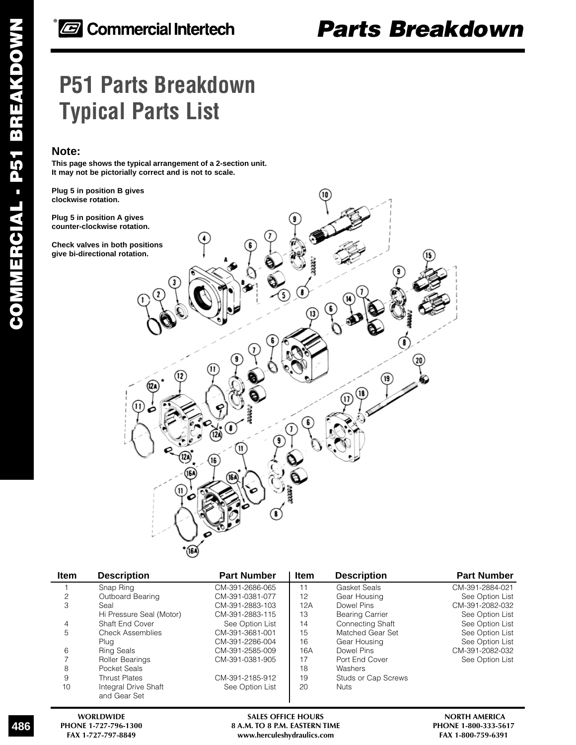# **P51 Parts Breakdown Typical Parts List**

### **Note:**

**This page shows the typical arrangement of a 2-section unit. It may not be pictorially correct and is not to scale.**

**Plug 5 in position B gives clockwise rotation.**

**Plug 5 in position A gives counter-clockwise rotation.**

**Check valves in both positions give bi-directional rotation.**



| <b>Item</b> | <b>Description</b>       | <b>Part Number</b> | <b>Item</b> | <b>Description</b>     | <b>Part Number</b> |
|-------------|--------------------------|--------------------|-------------|------------------------|--------------------|
|             | Snap Ring                | CM-391-2686-065    | 11          | Gasket Seals           | CM-391-2884-021    |
| 2           | Outboard Bearing         | CM-391-0381-077    | 12          | Gear Housing           | See Option List    |
| 3           | Seal                     | CM-391-2883-103    | 12A         | Dowel Pins             | CM-391-2082-032    |
|             | Hi Pressure Seal (Motor) | CM-391-2883-115    | 13          | <b>Bearing Carrier</b> | See Option List    |
| 4           | Shaft End Cover          | See Option List    | 14          | Connecting Shaft       | See Option List    |
| 5           | <b>Check Assemblies</b>  | CM-391-3681-001    | 15          | Matched Gear Set       | See Option List    |
|             | Plua                     | CM-391-2286-004    | 16          | Gear Housing           | See Option List    |
| 6           | <b>Ring Seals</b>        | CM-391-2585-009    | 16A         | Dowel Pins             | CM-391-2082-032    |
|             | Roller Bearings          | CM-391-0381-905    | 17          | Port End Cover         | See Option List    |
| 8           | Pocket Seals             |                    | 18          | Washers                |                    |
| 9           | <b>Thrust Plates</b>     | CM-391-2185-912    | 19          | Studs or Cap Screws    |                    |
| 10          | Integral Drive Shaft     | See Option List    | 20          | <b>Nuts</b>            |                    |
|             | and Gear Set             |                    |             |                        |                    |

486

WORLDWIDE **SALES OFFICE HOURS** SALES SEEN TIME THE SALES OF SALES OF SALES OF SALES OF SALES OF SALES OF SALES OF SALES OF SALES ASSEERN TIME THE SALES ASSEERN TIME SALES ASSEERN TIME SALES OF SALES ASSEERN TIME SALES OF S PHONE 1-727-796-1300 **8 A.M. TO 8 P.M. EASTERN TIME** PHONE 1-800-333-561<br>FAX 1-727-797-8849 **RAX 1-800-759-6391**  $www. herculeshydraulics.com$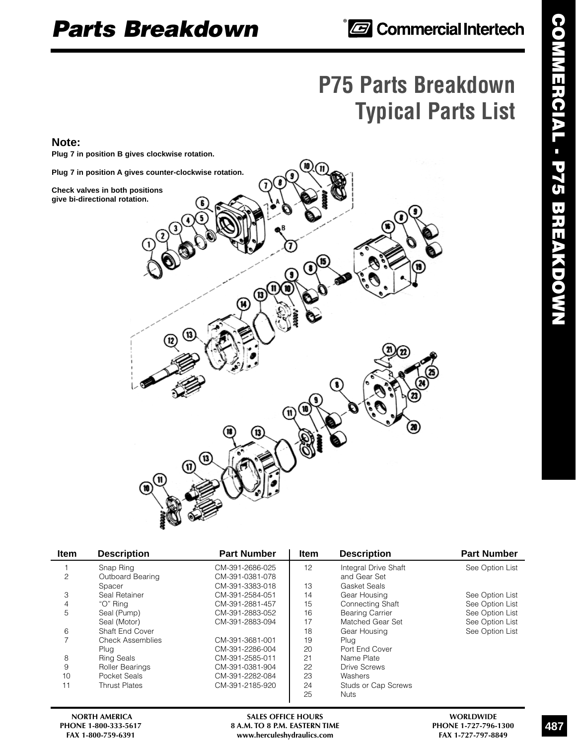# **P75 Parts Breakdown Typical Parts List**

### **Note:**

**Plug 7 in position B gives clockwise rotation.**

**Plug 7 in position A gives counter-clockwise rotation.**

**Check valves in both positions give bi-directional rotation.**



| <b>Item</b> | <b>Description</b>            | <b>Part Number</b>                 | <b>Item</b> | <b>Description</b>                   | <b>Part Number</b> |
|-------------|-------------------------------|------------------------------------|-------------|--------------------------------------|--------------------|
| 2           | Snap Ring<br>Outboard Bearing | CM-391-2686-025<br>CM-391-0381-078 | 12          | Integral Drive Shaft<br>and Gear Set | See Option List    |
|             | Spacer                        | CM-391-3383-018                    | 13          | Gasket Seals                         |                    |
| 3           | Seal Retainer                 | CM-391-2584-051                    | 14          | Gear Housing                         | See Option List    |
| 4           | "O" Rina                      | CM-391-2881-457                    | 15          | <b>Connecting Shaft</b>              | See Option List    |
| 5           | Seal (Pump)                   | CM-391-2883-052                    | 16          | <b>Bearing Carrier</b>               | See Option List    |
|             | Seal (Motor)                  | CM-391-2883-094                    | 17          | Matched Gear Set                     | See Option List    |
| 6           | Shaft End Cover               |                                    | 18          | Gear Housing                         | See Option List    |
|             | <b>Check Assemblies</b>       | CM-391-3681-001                    | 19          | Plug                                 |                    |
|             | Plug                          | CM-391-2286-004                    | 20          | Port End Cover                       |                    |
| 8           | <b>Ring Seals</b>             | CM-391-2585-011                    | 21          | Name Plate                           |                    |
| 9           | Roller Bearings               | CM-391-0381-904                    | 22          | Drive Screws                         |                    |
| 10          | Pocket Seals                  | CM-391-2282-084                    | 23          | Washers                              |                    |
| 11          | <b>Thrust Plates</b>          | CM-391-2185-920                    | 24          | <b>Studs or Cap Screws</b>           |                    |
|             |                               |                                    | 25          | <b>Nuts</b>                          |                    |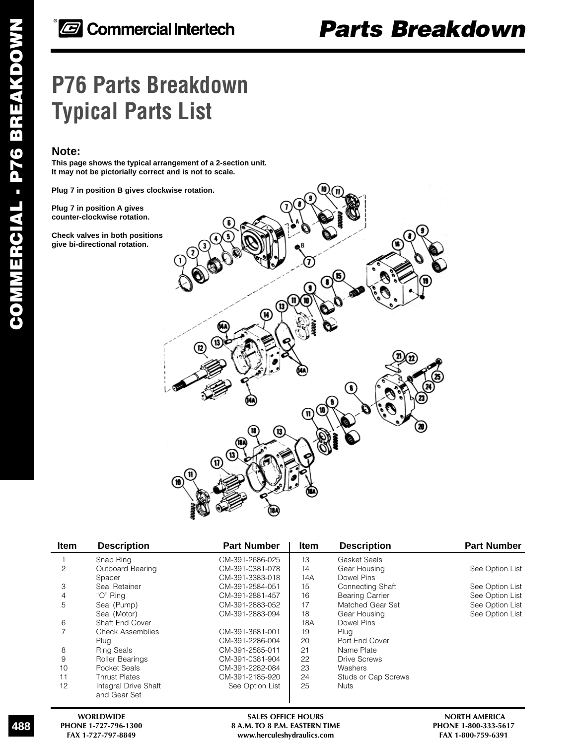# **P76 Parts Breakdown Typical Parts List**

### **Note:**

**This page shows the typical arrangement of a 2-section unit. It may not be pictorially correct and is not to scale.**

**Plug 7 in position B gives clockwise rotation.**

**Plug 7 in position A gives counter-clockwise rotation.**

**Check valves in both positions give bi-directional rotation.**



| <b>Item</b> | <b>Description</b>                   | <b>Part Number</b> | <b>Item</b> | <b>Description</b>     | <b>Part Number</b> |
|-------------|--------------------------------------|--------------------|-------------|------------------------|--------------------|
|             | Snap Ring                            | CM-391-2686-025    | 13          | Gasket Seals           |                    |
| 2           | Outboard Bearing                     | CM-391-0381-078    | 14          | Gear Housing           | See Option List    |
|             | Spacer                               | CM-391-3383-018    | 14A         | Dowel Pins             |                    |
| 3           | Seal Retainer                        | CM-391-2584-051    | 15          | Connecting Shaft       | See Option List    |
| 4           | "O" Ring                             | CM-391-2881-457    | 16          | <b>Bearing Carrier</b> | See Option List    |
| 5           | Seal (Pump)                          | CM-391-2883-052    | 17          | Matched Gear Set       | See Option List    |
|             | Seal (Motor)                         | CM-391-2883-094    | 18          | Gear Housing           | See Option List    |
| 6           | Shaft End Cover                      |                    | 18A         | Dowel Pins             |                    |
|             | <b>Check Assemblies</b>              | CM-391-3681-001    | 19          | Plug                   |                    |
|             | Plug                                 | CM-391-2286-004    | 20          | Port End Cover         |                    |
| 8           | <b>Ring Seals</b>                    | CM-391-2585-011    | 21          | Name Plate             |                    |
| 9           | Roller Bearings                      | CM-391-0381-904    | 22          | <b>Drive Screws</b>    |                    |
| 10          | Pocket Seals                         | CM-391-2282-084    | 23          | Washers                |                    |
| 11          | <b>Thrust Plates</b>                 | CM-391-2185-920    | 24          | Studs or Cap Screws    |                    |
| 12          | Integral Drive Shaft<br>and Gear Set | See Option List    | 25          | <b>Nuts</b>            |                    |

**WORLDWIDE SALES OFFICE HOURS NORTH AMERICA** PHONE 1-727-796-1300 **8 A.M. TO 8 P.M. EASTERN TIME** PHONE 1-800-333-561<br>FAX 1-727-797-8849 www.herculeshydraulics.com FAX 1-800-759-6391  $www. herculeshydraulics.com$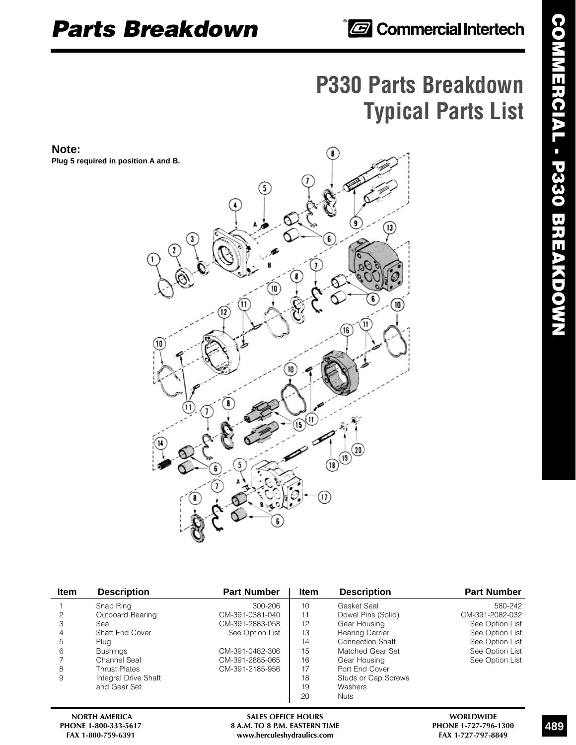# **P330 Parts Breakdown Typical Parts List**

**Note: Plug 5 required in position A and B.**



| <b>Item</b> | <b>Description</b>     | <b>Part Number</b> | Item | <b>Description</b>     | <b>Part Number</b> |
|-------------|------------------------|--------------------|------|------------------------|--------------------|
|             | Snap Ring              | 300-206            | 10   | Gasket Seal            | 580-242            |
|             | Outboard Bearing       | CM-391-0381-040    |      | Dowel Pins (Solid)     | CM-391-2082-032    |
| 3           | Seal                   | CM-391-2883-058    | 12   | Gear Housing           | See Option List    |
| 4           | <b>Shaft End Cover</b> | See Option List    | 13   | <b>Bearing Carrier</b> | See Option List    |
| 5           | Plug                   |                    | 14   | Connection Shaft       | See Option List    |
| 6           | <b>Bushings</b>        | CM-391-0482-306    | 15   | Matched Gear Set       | See Option List    |
|             | Channel Seal           | CM-391-2885-065    | 16   | Gear Housing           | See Option List    |
| 8           | <b>Thrust Plates</b>   | CM-391-2185-956    | 17   | Port End Cover         |                    |
| 9           | Integral Drive Shaft   |                    | 18   | Studs or Cap Screws    |                    |
|             | and Gear Set           |                    | 19   | Washers                |                    |
|             |                        |                    | 20   | <b>Nuts</b>            |                    |

NORTH AMERICA **SALES OFFICE HOURS** MORTH AMERICA **SALES OFFICE HOURS** WORLDWIDE<br>B A.M. TO 8 P.M. EASTERN TIME **PHONE 1-727-796-1300 PHONE 1-800-333-5617 8 A.M. TO 8 P.M. EASTERN TIME PHONE 1-727-796-130**<br>FAX 1-800-759-6391 **PHONE 1-727-797-8849**  $www. herculeshydraulics.com$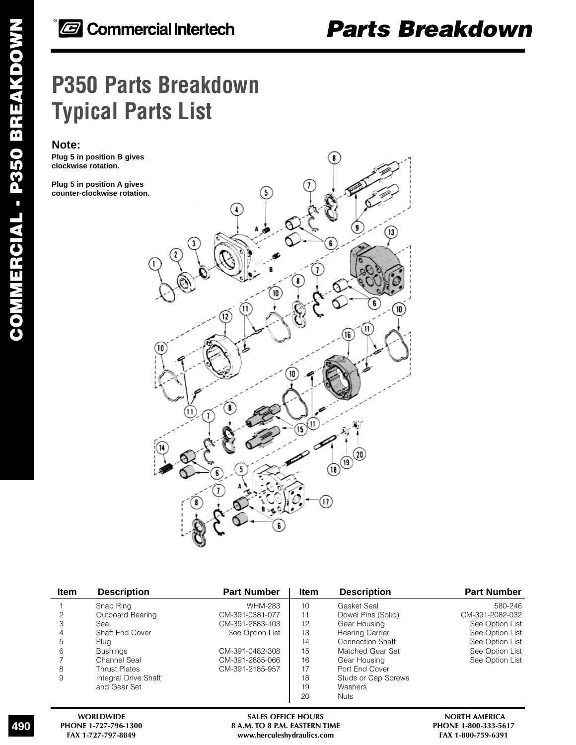# *Parts Breakdown*

# **P350 Parts Breakdown Typical Parts List**

### **Note:**

**Plug 5 in position B gives clockwise rotation.**

**Plug 5 in position A gives counter-clockwise rotation.**



| <b>Item</b> | <b>Description</b>     | <b>Part Number</b> | <b>Item</b> | <b>Description</b>      | <b>Part Number</b> |
|-------------|------------------------|--------------------|-------------|-------------------------|--------------------|
|             | Snap Ring              | WHM-283            | 10          | Gasket Seal             | 580-246            |
| 2           | Outboard Bearing       | CM-391-0381-077    | 11          | Dowel Pins (Solid)      | CM-391-2082-032    |
| 3           | Seal                   | CM-391-2883-103    | 12          | Gear Housing            | See Option List    |
| 4           | <b>Shaft End Cover</b> | See Option List    | 13          | <b>Bearing Carrier</b>  | See Option List    |
| 5           | Plug                   |                    | 14          | <b>Connection Shaft</b> | See Option List    |
| 6           | <b>Bushings</b>        | CM-391-0482-308    | 15          | Matched Gear Set        | See Option List    |
|             | Channel Seal           | CM-391-2885-066    | 16          | Gear Housing            | See Option List    |
| 8           | <b>Thrust Plates</b>   | CM-391-2185-957    | 17          | Port End Cover          |                    |
| 9           | Integral Drive Shaft   |                    | 18          | Studs or Cap Screws     |                    |
|             | and Gear Set           |                    | 19          | Washers                 |                    |
|             |                        |                    | 20          | <b>Nuts</b>             |                    |
|             |                        |                    |             |                         |                    |

490

WORLDWIDE **SALES OFFICE HOURS** SALES OF MELLES OF SALES OF THE SALES OF THE SALES OF THE SALES OF THE SALES OF THE SALES OF THE SALES OF THE SALES OF THE SALES OF THE SALES OF THE SALES OF THE SALES OF THE SALES OF THE SAL **PHONE 1-727-796-1300 8 A.M. TO 8 P.M. EASTERN TIME** PHONE 1-800-333-561<br>FAX 1-727-797-8849 **PHONE 1-800-759-6391**  $www. herculeshydraulics.com$